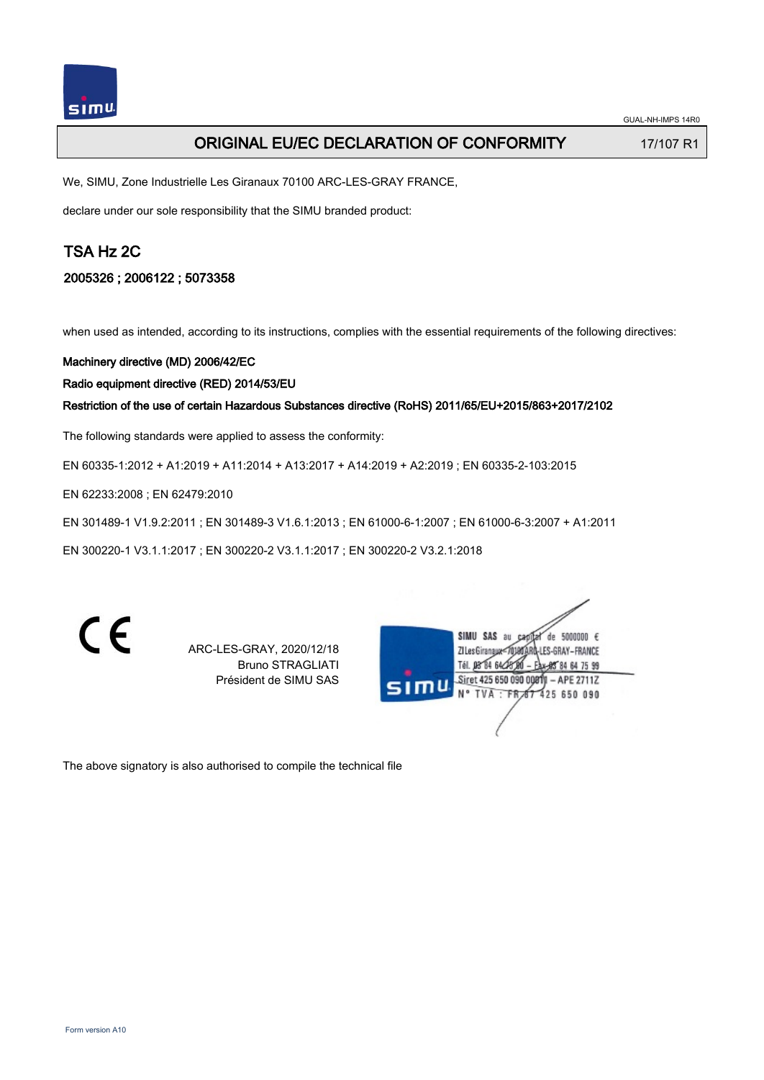# ORIGINAL EU/EC DECLARATION OF CONFORMITY 17/107 R1

We, SIMU, Zone Industrielle Les Giranaux 70100 ARC-LES-GRAY FRANCE,

declare under our sole responsibility that the SIMU branded product:

# TSA Hz 2C

## 2005326 ; 2006122 ; 5073358

when used as intended, according to its instructions, complies with the essential requirements of the following directives:

Machinery directive (MD) 2006/42/EC

Radio equipment directive (RED) 2014/53/EU

Restriction of the use of certain Hazardous Substances directive (RoHS) 2011/65/EU+2015/863+2017/2102

The following standards were applied to assess the conformity:

EN 60335‑1:2012 + A1:2019 + A11:2014 + A13:2017 + A14:2019 + A2:2019 ; EN 60335‑2‑103:2015

EN 62233:2008 ; EN 62479:2010

EN 301489‑1 V1.9.2:2011 ; EN 301489‑3 V1.6.1:2013 ; EN 61000‑6‑1:2007 ; EN 61000‑6‑3:2007 + A1:2011

EN 300220‑1 V3.1.1:2017 ; EN 300220‑2 V3.1.1:2017 ; EN 300220‑2 V3.2.1:2018

C E

ARC-LES-GRAY, 2020/12/18 Bruno STRAGLIATI Président de SIMU SAS

|      | SIMU SAS<br>5000000 $\epsilon$<br>âu<br>de. |
|------|---------------------------------------------|
|      |                                             |
|      | ZI Les Giranaux-7<br>ARĜ-LES-GRAY – FRANCE  |
|      | Tél. 08 84 64 28 01<br>Ax-95 84 64 75 99    |
|      |                                             |
| SIMU | Siret 425 650 090 00811 - APE 2711Z         |
|      | N° TVA : FR 67 425 650 090                  |
|      |                                             |
|      |                                             |
|      |                                             |
|      |                                             |

The above signatory is also authorised to compile the technical file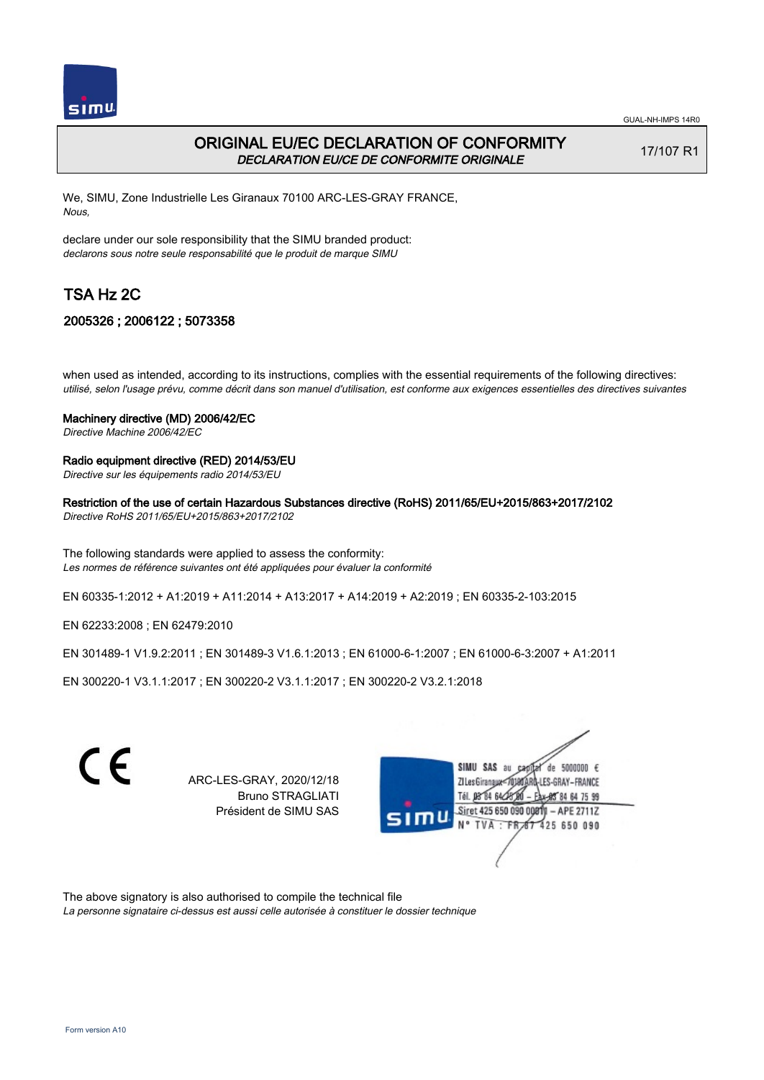

# ORIGINAL EU/EC DECLARATION OF CONFORMITY DECLARATION EU/CE DE CONFORMITE ORIGINALE

17/107 R1

We, SIMU, Zone Industrielle Les Giranaux 70100 ARC-LES-GRAY FRANCE, Nous,

declare under our sole responsibility that the SIMU branded product: declarons sous notre seule responsabilité que le produit de marque SIMU

# TSA Hz 2C

## 2005326 ; 2006122 ; 5073358

when used as intended, according to its instructions, complies with the essential requirements of the following directives: utilisé, selon l'usage prévu, comme décrit dans son manuel d'utilisation, est conforme aux exigences essentielles des directives suivantes

#### Machinery directive (MD) 2006/42/EC

Directive Machine 2006/42/EC

#### Radio equipment directive (RED) 2014/53/EU

Directive sur les équipements radio 2014/53/EU

### Restriction of the use of certain Hazardous Substances directive (RoHS) 2011/65/EU+2015/863+2017/2102

Directive RoHS 2011/65/EU+2015/863+2017/2102

The following standards were applied to assess the conformity: Les normes de référence suivantes ont été appliquées pour évaluer la conformité

EN 60335‑1:2012 + A1:2019 + A11:2014 + A13:2017 + A14:2019 + A2:2019 ; EN 60335‑2‑103:2015

EN 62233:2008 ; EN 62479:2010

EN 301489‑1 V1.9.2:2011 ; EN 301489‑3 V1.6.1:2013 ; EN 61000‑6‑1:2007 ; EN 61000‑6‑3:2007 + A1:2011

EN 300220‑1 V3.1.1:2017 ; EN 300220‑2 V3.1.1:2017 ; EN 300220‑2 V3.2.1:2018



ARC-LES-GRAY, 2020/12/18 Bruno STRAGLIATI Président de SIMU SAS



The above signatory is also authorised to compile the technical file

La personne signataire ci-dessus est aussi celle autorisée à constituer le dossier technique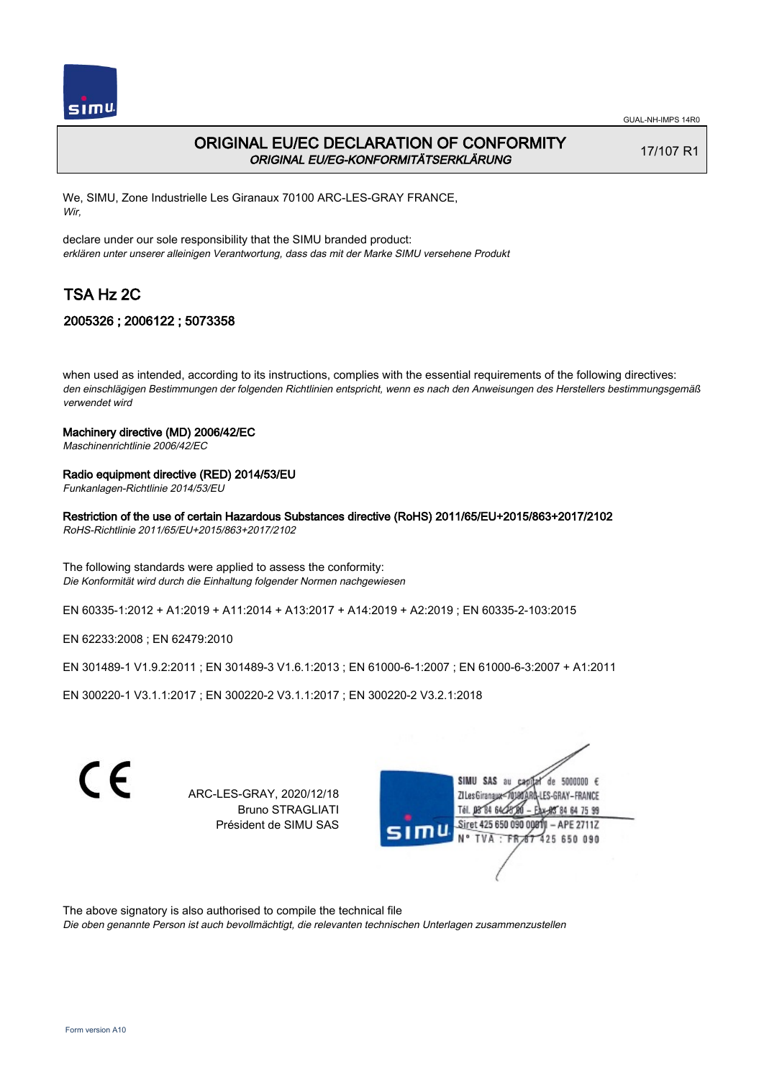

# ORIGINAL EU/EC DECLARATION OF CONFORMITY ORIGINAL EU/EG-KONFORMITÄTSERKLÄRUNG

17/107 R1

We, SIMU, Zone Industrielle Les Giranaux 70100 ARC-LES-GRAY FRANCE, Wir,

declare under our sole responsibility that the SIMU branded product: erklären unter unserer alleinigen Verantwortung, dass das mit der Marke SIMU versehene Produkt

# TSA Hz 2C

## 2005326 ; 2006122 ; 5073358

when used as intended, according to its instructions, complies with the essential requirements of the following directives: den einschlägigen Bestimmungen der folgenden Richtlinien entspricht, wenn es nach den Anweisungen des Herstellers bestimmungsgemäß verwendet wird

#### Machinery directive (MD) 2006/42/EC

Maschinenrichtlinie 2006/42/EC

#### Radio equipment directive (RED) 2014/53/EU

Funkanlagen-Richtlinie 2014/53/EU

Restriction of the use of certain Hazardous Substances directive (RoHS) 2011/65/EU+2015/863+2017/2102

RoHS-Richtlinie 2011/65/EU+2015/863+2017/2102

The following standards were applied to assess the conformity: Die Konformität wird durch die Einhaltung folgender Normen nachgewiesen

EN 60335‑1:2012 + A1:2019 + A11:2014 + A13:2017 + A14:2019 + A2:2019 ; EN 60335‑2‑103:2015

EN 62233:2008 ; EN 62479:2010

EN 301489‑1 V1.9.2:2011 ; EN 301489‑3 V1.6.1:2013 ; EN 61000‑6‑1:2007 ; EN 61000‑6‑3:2007 + A1:2011

EN 300220‑1 V3.1.1:2017 ; EN 300220‑2 V3.1.1:2017 ; EN 300220‑2 V3.2.1:2018

| ARC-LES-GRAY, 2020/12/18<br><b>Bruno STRAGLIATI</b><br>Président de SIMU SAS | SIMU SAS au<br>de 5000000 $\epsilon$<br>ZI Les Giranaux=70180ARQ-LES-GRAY-FRANCE<br>Tél. 08°84 64228<br>84 64 75 99<br>Siret 425 650 090 0081 9<br>$-$ APE 2711Z<br>SIMU<br>TVA: FR 67 425 650 090 |  |
|------------------------------------------------------------------------------|----------------------------------------------------------------------------------------------------------------------------------------------------------------------------------------------------|--|
|                                                                              |                                                                                                                                                                                                    |  |

The above signatory is also authorised to compile the technical file

Die oben genannte Person ist auch bevollmächtigt, die relevanten technischen Unterlagen zusammenzustellen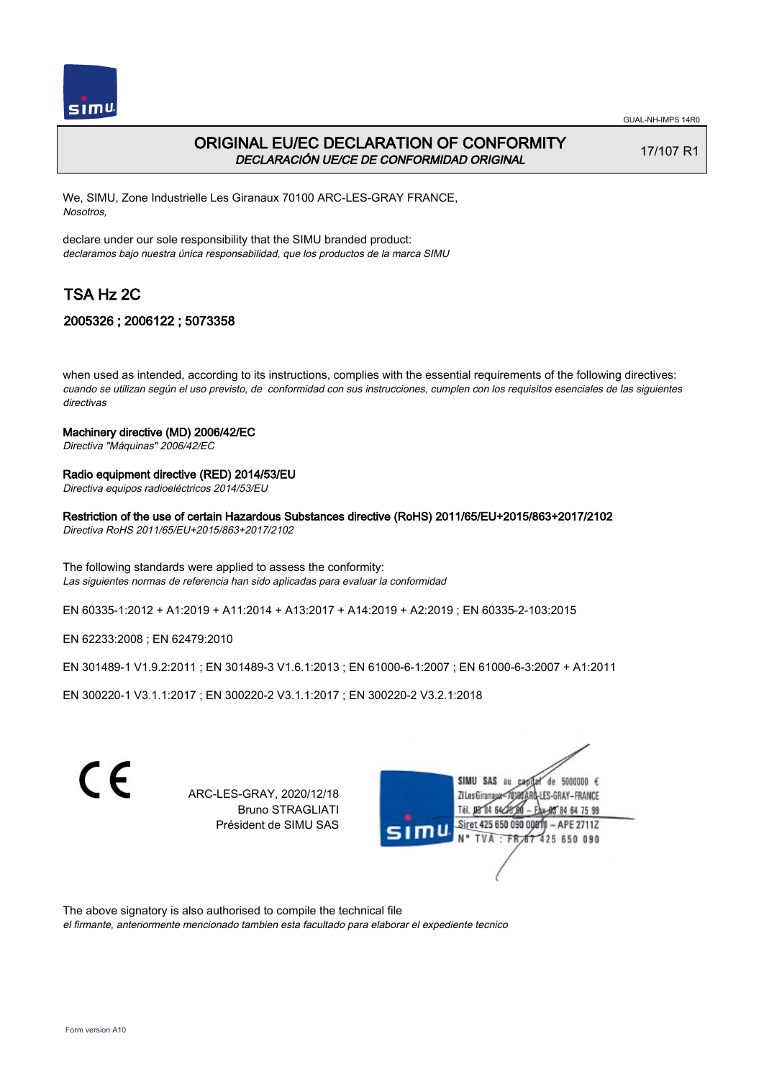

# ORIGINAL EU/EC DECLARATION OF CONFORMITY DECLARACIÓN UE/CE DE CONFORMIDAD ORIGINAL

17/107 R1

We, SIMU, Zone Industrielle Les Giranaux 70100 ARC-LES-GRAY FRANCE, Nosotros,

declare under our sole responsibility that the SIMU branded product: declaramos bajo nuestra única responsabilidad, que los productos de la marca SIMU

# TSA Hz 2C

## 2005326 ; 2006122 ; 5073358

when used as intended, according to its instructions, complies with the essential requirements of the following directives: cuando se utilizan según el uso previsto, de conformidad con sus instrucciones, cumplen con los requisitos esenciales de las siguientes directivas

### Machinery directive (MD) 2006/42/EC

Directiva "Máquinas" 2006/42/EC

#### Radio equipment directive (RED) 2014/53/EU

Directiva equipos radioeléctricos 2014/53/EU

Restriction of the use of certain Hazardous Substances directive (RoHS) 2011/65/EU+2015/863+2017/2102

Directiva RoHS 2011/65/EU+2015/863+2017/2102

The following standards were applied to assess the conformity: Las siguientes normas de referencia han sido aplicadas para evaluar la conformidad

EN 60335‑1:2012 + A1:2019 + A11:2014 + A13:2017 + A14:2019 + A2:2019 ; EN 60335‑2‑103:2015

EN 62233:2008 ; EN 62479:2010

EN 301489‑1 V1.9.2:2011 ; EN 301489‑3 V1.6.1:2013 ; EN 61000‑6‑1:2007 ; EN 61000‑6‑3:2007 + A1:2011

EN 300220‑1 V3.1.1:2017 ; EN 300220‑2 V3.1.1:2017 ; EN 300220‑2 V3.2.1:2018

| C | ARC-LES-GRAY, 2020/12/18<br><b>Bruno STRAGLIATI</b><br>Président de SIMU SAS | SIMU SAS au<br>de 5000000 $\epsilon$<br>ZI Les Giranaux=70180ARD-LES-GRAY-FRANCE<br>84 64 75 99<br>Siret 425 650 090 00<br>$-$ APE 2711Z<br><b>SIMU</b><br>N° TVA : FR 67 425 650 090 |
|---|------------------------------------------------------------------------------|---------------------------------------------------------------------------------------------------------------------------------------------------------------------------------------|

The above signatory is also authorised to compile the technical file

el firmante, anteriormente mencionado tambien esta facultado para elaborar el expediente tecnico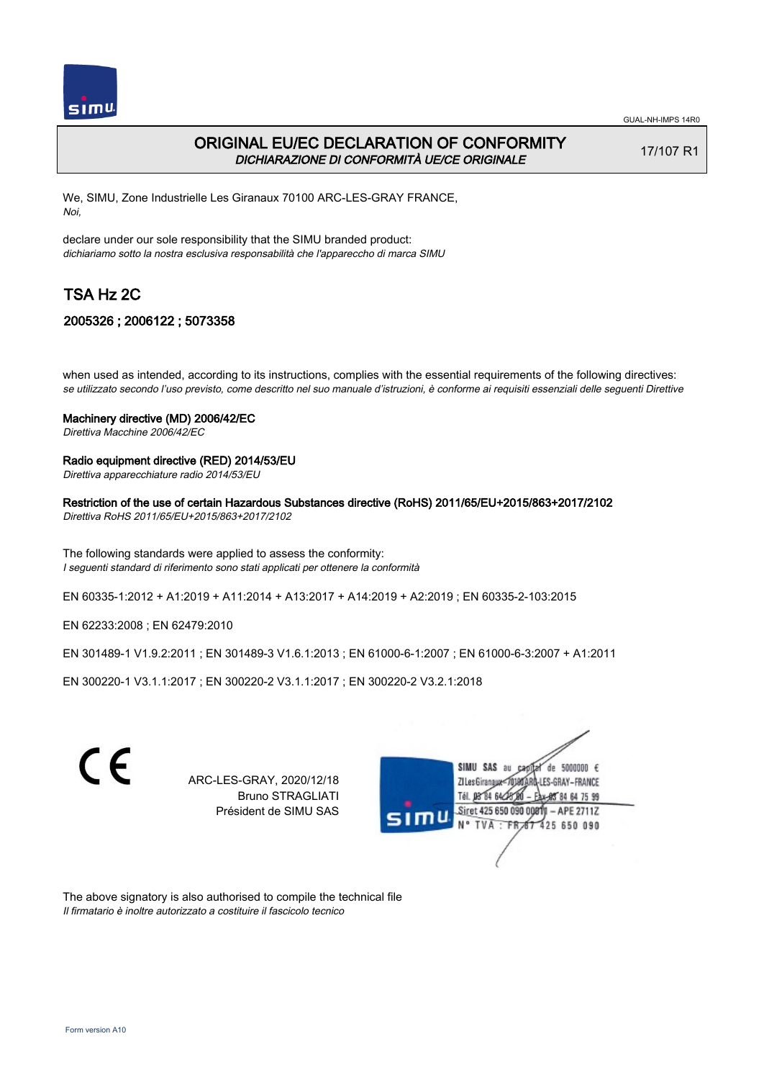

# ORIGINAL EU/EC DECLARATION OF CONFORMITY DICHIARAZIONE DI CONFORMITÀ UE/CE ORIGINALE

17/107 R1

We, SIMU, Zone Industrielle Les Giranaux 70100 ARC-LES-GRAY FRANCE, Noi,

declare under our sole responsibility that the SIMU branded product: dichiariamo sotto la nostra esclusiva responsabilità che l'appareccho di marca SIMU

# TSA Hz 2C

## 2005326 ; 2006122 ; 5073358

when used as intended, according to its instructions, complies with the essential requirements of the following directives: se utilizzato secondo l'uso previsto, come descritto nel suo manuale d'istruzioni, è conforme ai requisiti essenziali delle seguenti Direttive

#### Machinery directive (MD) 2006/42/EC

Direttiva Macchine 2006/42/EC

### Radio equipment directive (RED) 2014/53/EU

Direttiva apparecchiature radio 2014/53/EU

### Restriction of the use of certain Hazardous Substances directive (RoHS) 2011/65/EU+2015/863+2017/2102

Direttiva RoHS 2011/65/EU+2015/863+2017/2102

The following standards were applied to assess the conformity: I seguenti standard di riferimento sono stati applicati per ottenere la conformità

EN 60335‑1:2012 + A1:2019 + A11:2014 + A13:2017 + A14:2019 + A2:2019 ; EN 60335‑2‑103:2015

EN 62233:2008 ; EN 62479:2010

EN 301489‑1 V1.9.2:2011 ; EN 301489‑3 V1.6.1:2013 ; EN 61000‑6‑1:2007 ; EN 61000‑6‑3:2007 + A1:2011

EN 300220‑1 V3.1.1:2017 ; EN 300220‑2 V3.1.1:2017 ; EN 300220‑2 V3.2.1:2018



ARC-LES-GRAY, 2020/12/18 Bruno STRAGLIATI Président de SIMU SAS



The above signatory is also authorised to compile the technical file Il firmatario è inoltre autorizzato a costituire il fascicolo tecnico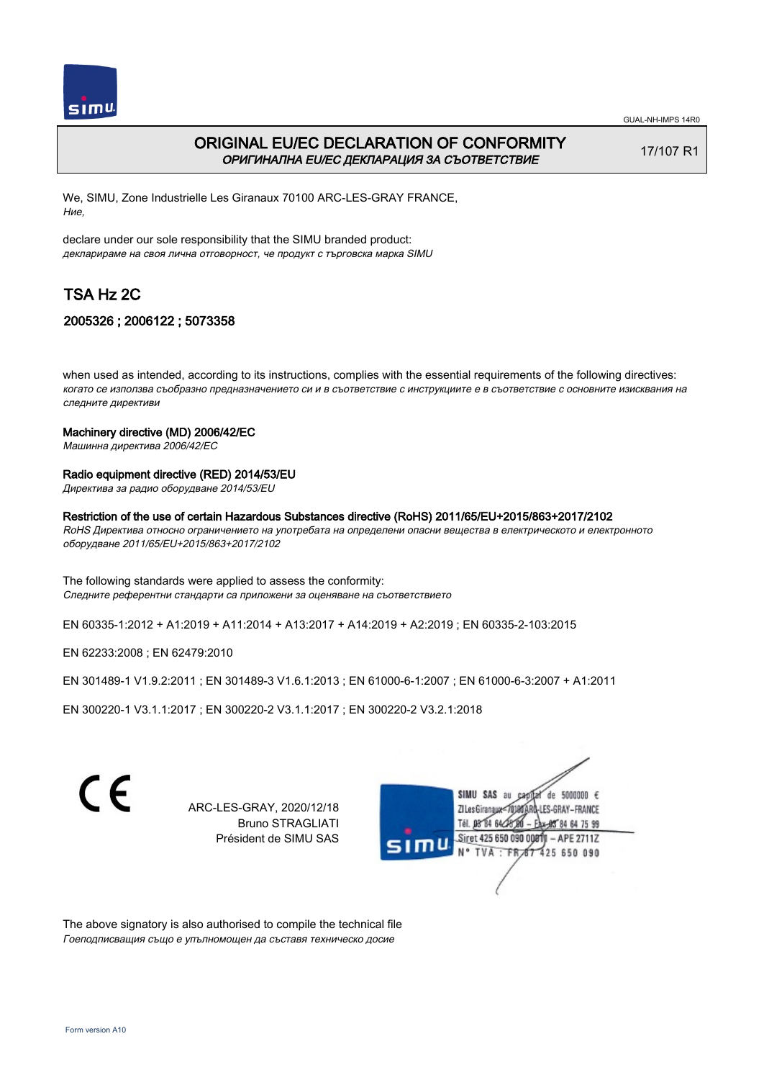

# ORIGINAL EU/EC DECLARATION OF CONFORMITY ОРИГИНАЛНА EU/EC ДЕКЛАРАЦИЯ ЗА СЪОТВЕТСТВИЕ

17/107 R1

We, SIMU, Zone Industrielle Les Giranaux 70100 ARC-LES-GRAY FRANCE, Ние,

declare under our sole responsibility that the SIMU branded product: декларираме на своя лична отговорност, че продукт с търговска марка SIMU

# TSA Hz 2C

## 2005326 ; 2006122 ; 5073358

when used as intended, according to its instructions, complies with the essential requirements of the following directives: когато се използва съобразно предназначението си и в съответствие с инструкциите е в съответствие с основните изисквания на следните директиви

#### Machinery directive (MD) 2006/42/EC

Машинна директива 2006/42/EC

#### Radio equipment directive (RED) 2014/53/EU

Директива за радио оборудване 2014/53/EU

#### Restriction of the use of certain Hazardous Substances directive (RoHS) 2011/65/EU+2015/863+2017/2102

RoHS Директива относно ограничението на употребата на определени опасни вещества в електрическото и електронното оборудване 2011/65/EU+2015/863+2017/2102

The following standards were applied to assess the conformity: Следните референтни стандарти са приложени за оценяване на съответствието

EN 60335‑1:2012 + A1:2019 + A11:2014 + A13:2017 + A14:2019 + A2:2019 ; EN 60335‑2‑103:2015

EN 62233:2008 ; EN 62479:2010

EN 301489‑1 V1.9.2:2011 ; EN 301489‑3 V1.6.1:2013 ; EN 61000‑6‑1:2007 ; EN 61000‑6‑3:2007 + A1:2011

EN 300220‑1 V3.1.1:2017 ; EN 300220‑2 V3.1.1:2017 ; EN 300220‑2 V3.2.1:2018

C F

ARC-LES-GRAY, 2020/12/18 Bruno STRAGLIATI Président de SIMU SAS



The above signatory is also authorised to compile the technical file Гоеподписващия също е упълномощен да съставя техническо досие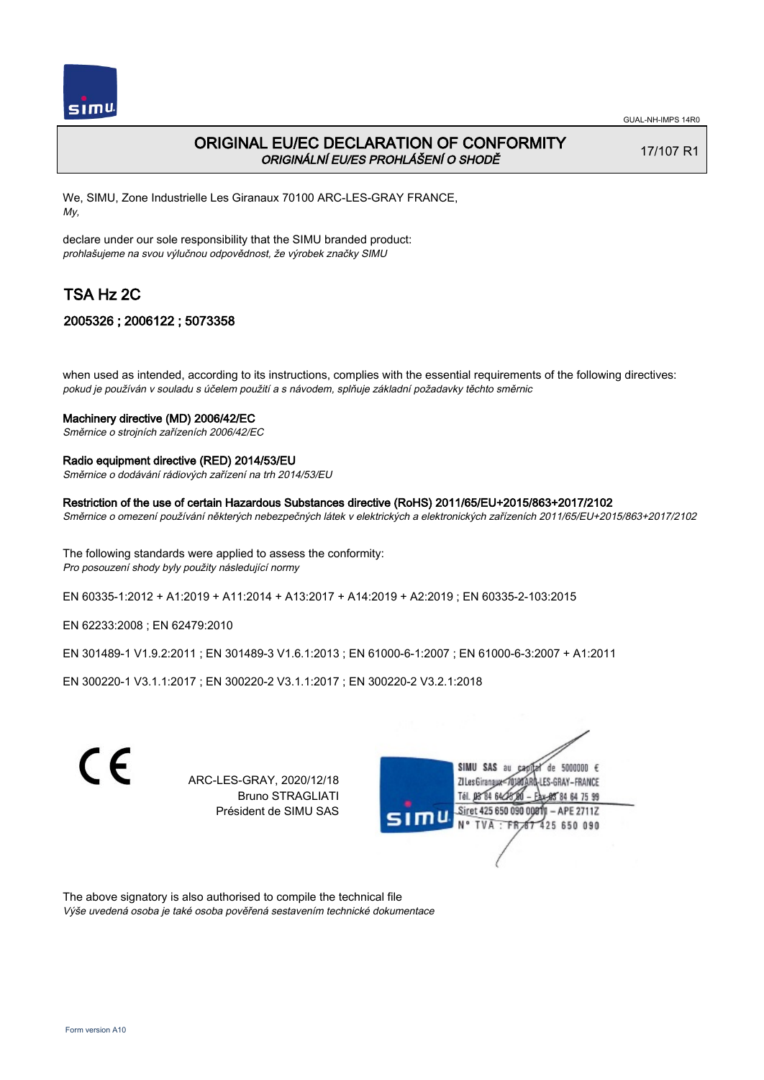

# ORIGINAL EU/EC DECLARATION OF CONFORMITY ORIGINÁLNÍ EU/ES PROHLÁŠENÍ O SHODĚ

17/107 R1

We, SIMU, Zone Industrielle Les Giranaux 70100 ARC-LES-GRAY FRANCE, My,

declare under our sole responsibility that the SIMU branded product: prohlašujeme na svou výlučnou odpovědnost, že výrobek značky SIMU

# TSA Hz 2C

## 2005326 ; 2006122 ; 5073358

when used as intended, according to its instructions, complies with the essential requirements of the following directives: pokud je používán v souladu s účelem použití a s návodem, splňuje základní požadavky těchto směrnic

## Machinery directive (MD) 2006/42/EC

Směrnice o strojních zařízeních 2006/42/EC

### Radio equipment directive (RED) 2014/53/EU

Směrnice o dodávání rádiových zařízení na trh 2014/53/EU

## Restriction of the use of certain Hazardous Substances directive (RoHS) 2011/65/EU+2015/863+2017/2102

Směrnice o omezení používání některých nebezpečných látek v elektrických a elektronických zařízeních 2011/65/EU+2015/863+2017/2102

The following standards were applied to assess the conformity: Pro posouzení shody byly použity následující normy

EN 60335‑1:2012 + A1:2019 + A11:2014 + A13:2017 + A14:2019 + A2:2019 ; EN 60335‑2‑103:2015

EN 62233:2008 ; EN 62479:2010

EN 301489‑1 V1.9.2:2011 ; EN 301489‑3 V1.6.1:2013 ; EN 61000‑6‑1:2007 ; EN 61000‑6‑3:2007 + A1:2011

EN 300220‑1 V3.1.1:2017 ; EN 300220‑2 V3.1.1:2017 ; EN 300220‑2 V3.2.1:2018



The above signatory is also authorised to compile the technical file Výše uvedená osoba je také osoba pověřená sestavením technické dokumentace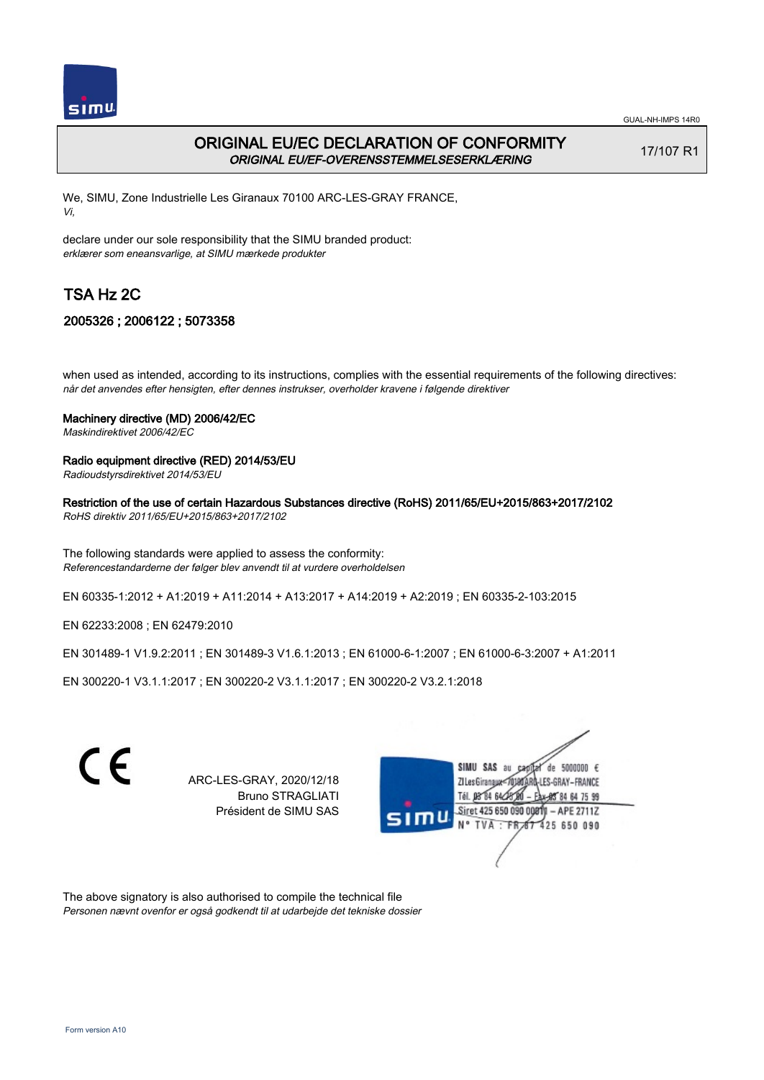

# ORIGINAL EU/EC DECLARATION OF CONFORMITY ORIGINAL EU/EF-OVERENSSTEMMELSESERKLÆRING

17/107 R1

We, SIMU, Zone Industrielle Les Giranaux 70100 ARC-LES-GRAY FRANCE, Vi,

declare under our sole responsibility that the SIMU branded product: erklærer som eneansvarlige, at SIMU mærkede produkter

# TSA Hz 2C

## 2005326 ; 2006122 ; 5073358

when used as intended, according to its instructions, complies with the essential requirements of the following directives: når det anvendes efter hensigten, efter dennes instrukser, overholder kravene i følgende direktiver

### Machinery directive (MD) 2006/42/EC

Maskindirektivet 2006/42/EC

### Radio equipment directive (RED) 2014/53/EU

Radioudstyrsdirektivet 2014/53/EU

Restriction of the use of certain Hazardous Substances directive (RoHS) 2011/65/EU+2015/863+2017/2102

RoHS direktiv 2011/65/EU+2015/863+2017/2102

The following standards were applied to assess the conformity: Referencestandarderne der følger blev anvendt til at vurdere overholdelsen

EN 60335‑1:2012 + A1:2019 + A11:2014 + A13:2017 + A14:2019 + A2:2019 ; EN 60335‑2‑103:2015

EN 62233:2008 ; EN 62479:2010

EN 301489‑1 V1.9.2:2011 ; EN 301489‑3 V1.6.1:2013 ; EN 61000‑6‑1:2007 ; EN 61000‑6‑3:2007 + A1:2011

EN 300220‑1 V3.1.1:2017 ; EN 300220‑2 V3.1.1:2017 ; EN 300220‑2 V3.2.1:2018



ARC-LES-GRAY, 2020/12/18 Bruno STRAGLIATI Président de SIMU SAS



The above signatory is also authorised to compile the technical file Personen nævnt ovenfor er også godkendt til at udarbejde det tekniske dossier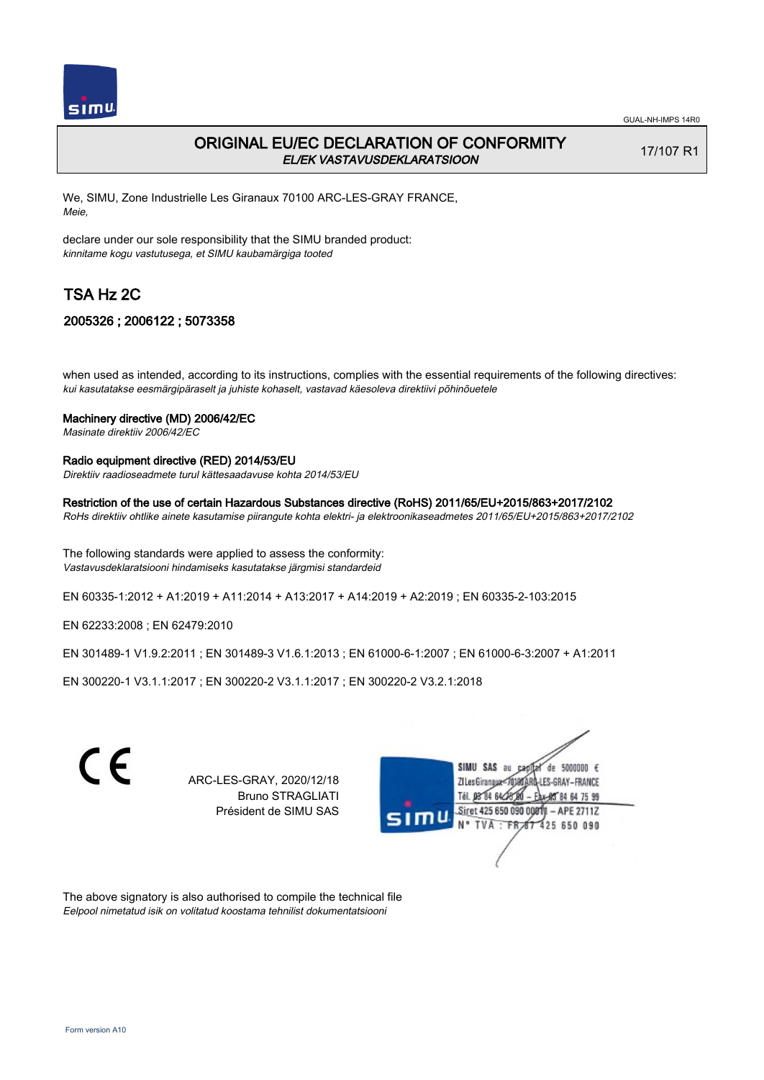

# ORIGINAL EU/EC DECLARATION OF CONFORMITY EL/EK VASTAVUSDEKLARATSIOON

17/107 R1

We, SIMU, Zone Industrielle Les Giranaux 70100 ARC-LES-GRAY FRANCE, Meie,

declare under our sole responsibility that the SIMU branded product: kinnitame kogu vastutusega, et SIMU kaubamärgiga tooted

# TSA Hz 2C

## 2005326 ; 2006122 ; 5073358

when used as intended, according to its instructions, complies with the essential requirements of the following directives: kui kasutatakse eesmärgipäraselt ja juhiste kohaselt, vastavad käesoleva direktiivi põhinõuetele

#### Machinery directive (MD) 2006/42/EC

Masinate direktiiv 2006/42/EC

### Radio equipment directive (RED) 2014/53/EU

Direktiiv raadioseadmete turul kättesaadavuse kohta 2014/53/EU

## Restriction of the use of certain Hazardous Substances directive (RoHS) 2011/65/EU+2015/863+2017/2102

RoHs direktiiv ohtlike ainete kasutamise piirangute kohta elektri- ja elektroonikaseadmetes 2011/65/EU+2015/863+2017/2102

The following standards were applied to assess the conformity: Vastavusdeklaratsiooni hindamiseks kasutatakse järgmisi standardeid

EN 60335‑1:2012 + A1:2019 + A11:2014 + A13:2017 + A14:2019 + A2:2019 ; EN 60335‑2‑103:2015

EN 62233:2008 ; EN 62479:2010

EN 301489‑1 V1.9.2:2011 ; EN 301489‑3 V1.6.1:2013 ; EN 61000‑6‑1:2007 ; EN 61000‑6‑3:2007 + A1:2011

EN 300220‑1 V3.1.1:2017 ; EN 300220‑2 V3.1.1:2017 ; EN 300220‑2 V3.2.1:2018



ARC-LES-GRAY, 2020/12/18 Bruno STRAGLIATI Président de SIMU SAS



The above signatory is also authorised to compile the technical file Eelpool nimetatud isik on volitatud koostama tehnilist dokumentatsiooni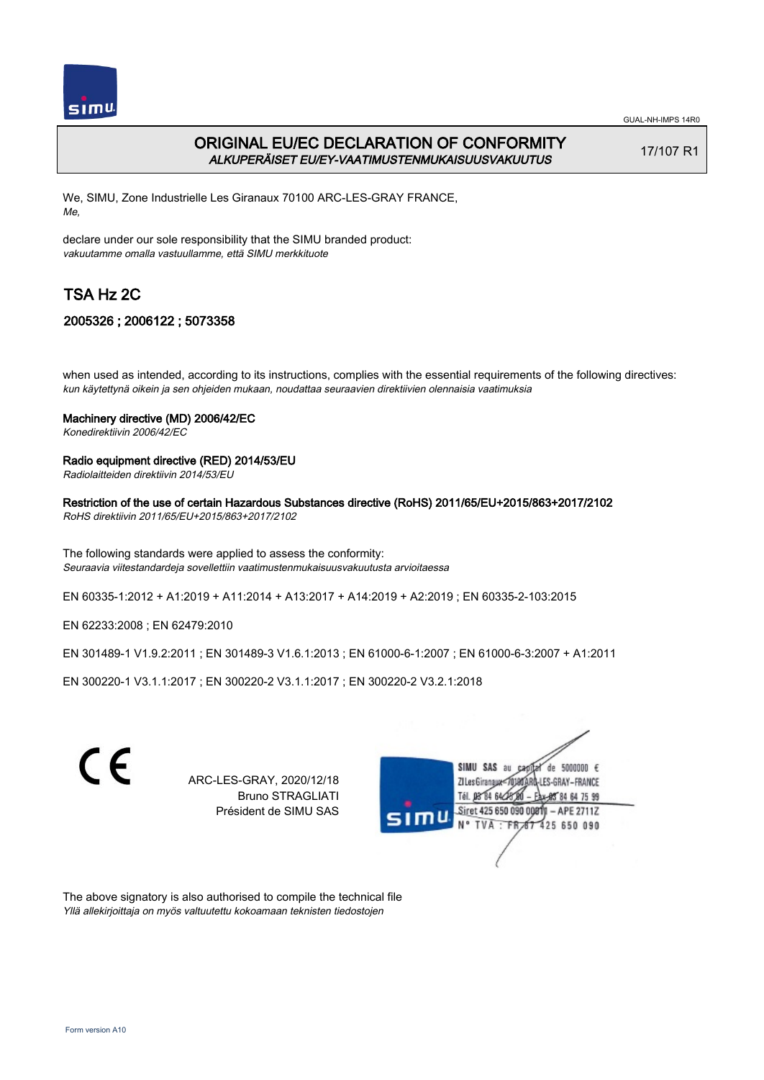

GUAL-NH-IMPS 14R0

# ORIGINAL EU/EC DECLARATION OF CONFORMITY ALKUPERÄISET EU/EY-VAATIMUSTENMUKAISUUSVAKUUTUS

17/107 R1

We, SIMU, Zone Industrielle Les Giranaux 70100 ARC-LES-GRAY FRANCE, Me,

declare under our sole responsibility that the SIMU branded product: vakuutamme omalla vastuullamme, että SIMU merkkituote

# TSA Hz 2C

# 2005326 ; 2006122 ; 5073358

when used as intended, according to its instructions, complies with the essential requirements of the following directives: kun käytettynä oikein ja sen ohjeiden mukaan, noudattaa seuraavien direktiivien olennaisia vaatimuksia

### Machinery directive (MD) 2006/42/EC

Konedirektiivin 2006/42/EC

### Radio equipment directive (RED) 2014/53/EU

Radiolaitteiden direktiivin 2014/53/EU

#### Restriction of the use of certain Hazardous Substances directive (RoHS) 2011/65/EU+2015/863+2017/2102

RoHS direktiivin 2011/65/EU+2015/863+2017/2102

The following standards were applied to assess the conformity: Seuraavia viitestandardeja sovellettiin vaatimustenmukaisuusvakuutusta arvioitaessa

EN 60335‑1:2012 + A1:2019 + A11:2014 + A13:2017 + A14:2019 + A2:2019 ; EN 60335‑2‑103:2015

EN 62233:2008 ; EN 62479:2010

EN 301489‑1 V1.9.2:2011 ; EN 301489‑3 V1.6.1:2013 ; EN 61000‑6‑1:2007 ; EN 61000‑6‑3:2007 + A1:2011

EN 300220‑1 V3.1.1:2017 ; EN 300220‑2 V3.1.1:2017 ; EN 300220‑2 V3.2.1:2018



ARC-LES-GRAY, 2020/12/18 Bruno STRAGLIATI Président de SIMU SAS



The above signatory is also authorised to compile the technical file Yllä allekirjoittaja on myös valtuutettu kokoamaan teknisten tiedostojen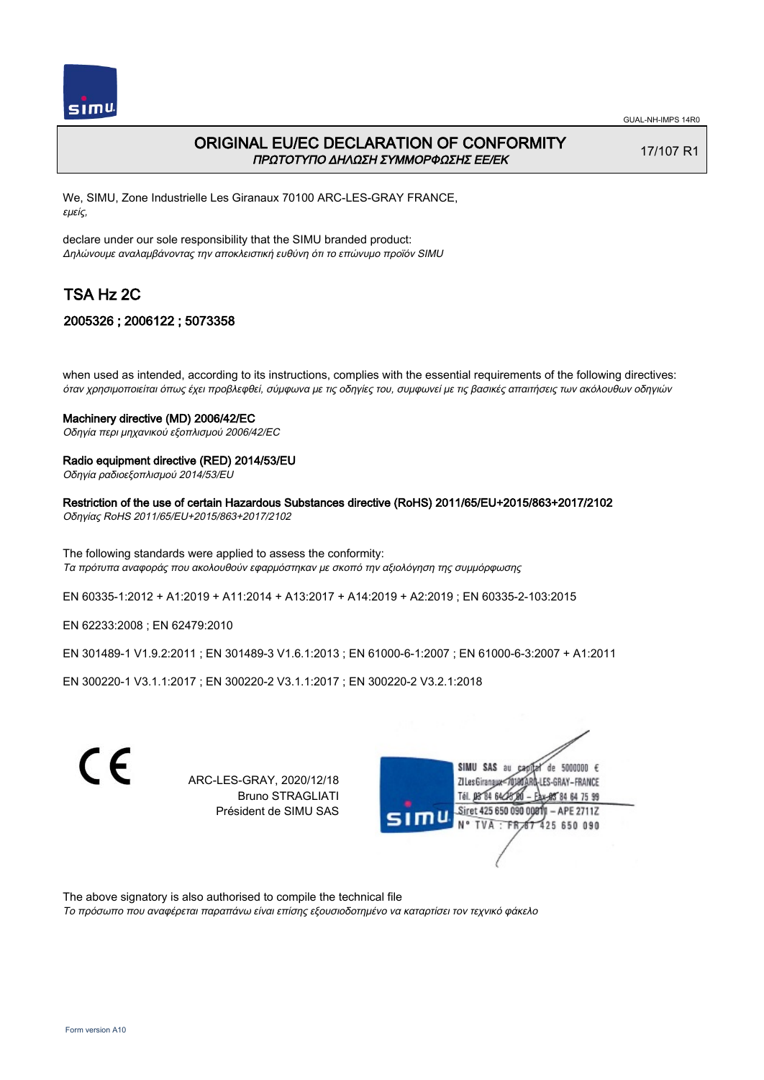

# ORIGINAL EU/EC DECLARATION OF CONFORMITY ΠΡΩΤΟΤΥΠΟ ΔΗΛΩΣΗ ΣΥΜΜΟΡΦΩΣΗΣ ΕΕ/EK

17/107 R1

We, SIMU, Zone Industrielle Les Giranaux 70100 ARC-LES-GRAY FRANCE, εμείς,

declare under our sole responsibility that the SIMU branded product: Δηλώνουμε αναλαμβάνοντας την αποκλειστική ευθύνη ότι το επώνυμο προϊόν SIMU

# TSA Hz 2C

## 2005326 ; 2006122 ; 5073358

when used as intended, according to its instructions, complies with the essential requirements of the following directives: όταν χρησιμοποιείται όπως έχει προβλεφθεί, σύμφωνα με τις οδηγίες του, συμφωνεί με τις βασικές απαιτήσεις των ακόλουθων οδηγιών

#### Machinery directive (MD) 2006/42/EC

Οδηγία περι μηχανικού εξοπλισμού 2006/42/EC

## Radio equipment directive (RED) 2014/53/EU

Οδηγία ραδιοεξοπλισμού 2014/53/EU

### Restriction of the use of certain Hazardous Substances directive (RoHS) 2011/65/EU+2015/863+2017/2102

Οδηγίας RoHS 2011/65/EU+2015/863+2017/2102

The following standards were applied to assess the conformity: Τα πρότυπα αναφοράς που ακολουθούν εφαρμόστηκαν με σκοπό την αξιολόγηση της συμμόρφωσης

EN 60335‑1:2012 + A1:2019 + A11:2014 + A13:2017 + A14:2019 + A2:2019 ; EN 60335‑2‑103:2015

EN 62233:2008 ; EN 62479:2010

EN 301489‑1 V1.9.2:2011 ; EN 301489‑3 V1.6.1:2013 ; EN 61000‑6‑1:2007 ; EN 61000‑6‑3:2007 + A1:2011

EN 300220‑1 V3.1.1:2017 ; EN 300220‑2 V3.1.1:2017 ; EN 300220‑2 V3.2.1:2018

C F

ARC-LES-GRAY, 2020/12/18 Bruno STRAGLIATI Président de SIMU SAS



The above signatory is also authorised to compile the technical file

Το πρόσωπο που αναφέρεται παραπάνω είναι επίσης εξουσιοδοτημένο να καταρτίσει τον τεχνικό φάκελο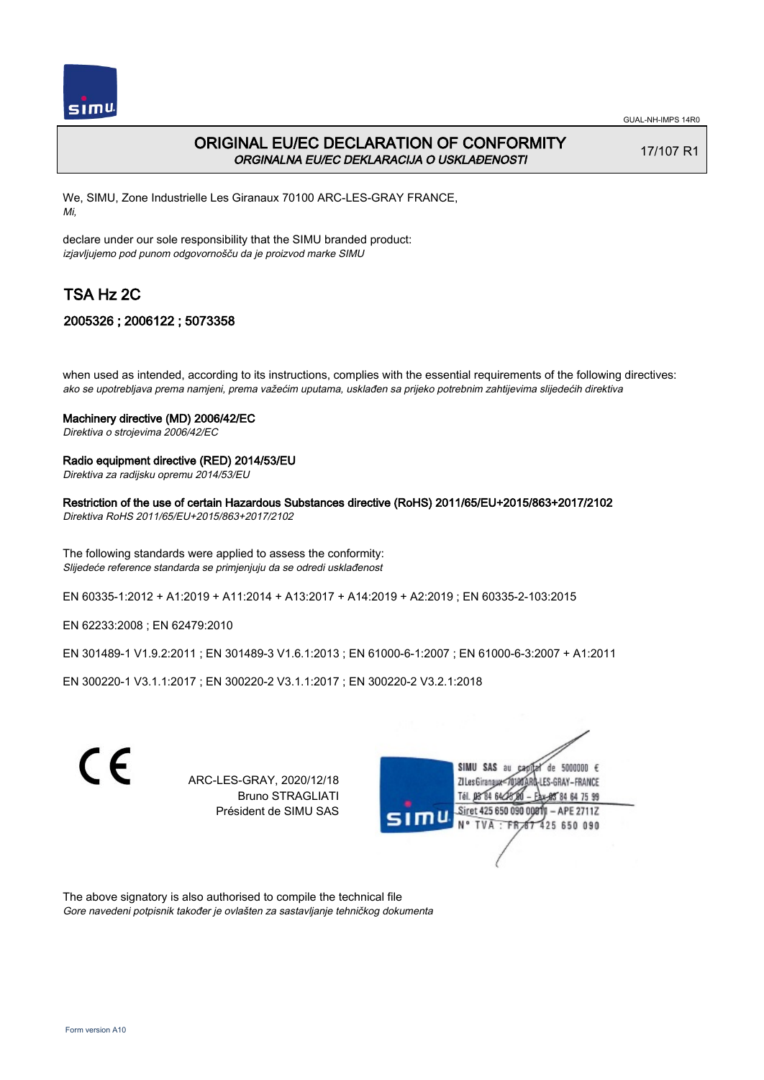

# ORIGINAL EU/EC DECLARATION OF CONFORMITY ORGINALNA EU/EC DEKLARACIJA O USKLAĐENOSTI

17/107 R1

We, SIMU, Zone Industrielle Les Giranaux 70100 ARC-LES-GRAY FRANCE, Mi,

declare under our sole responsibility that the SIMU branded product: izjavljujemo pod punom odgovornošču da je proizvod marke SIMU

# TSA Hz 2C

## 2005326 ; 2006122 ; 5073358

when used as intended, according to its instructions, complies with the essential requirements of the following directives: ako se upotrebljava prema namjeni, prema važećim uputama, usklađen sa prijeko potrebnim zahtijevima slijedećih direktiva

#### Machinery directive (MD) 2006/42/EC

Direktiva o strojevima 2006/42/EC

### Radio equipment directive (RED) 2014/53/EU

Direktiva za radijsku opremu 2014/53/EU

### Restriction of the use of certain Hazardous Substances directive (RoHS) 2011/65/EU+2015/863+2017/2102

Direktiva RoHS 2011/65/EU+2015/863+2017/2102

The following standards were applied to assess the conformity: Slijedeće reference standarda se primjenjuju da se odredi usklađenost

EN 60335‑1:2012 + A1:2019 + A11:2014 + A13:2017 + A14:2019 + A2:2019 ; EN 60335‑2‑103:2015

EN 62233:2008 ; EN 62479:2010

EN 301489‑1 V1.9.2:2011 ; EN 301489‑3 V1.6.1:2013 ; EN 61000‑6‑1:2007 ; EN 61000‑6‑3:2007 + A1:2011

EN 300220‑1 V3.1.1:2017 ; EN 300220‑2 V3.1.1:2017 ; EN 300220‑2 V3.2.1:2018



ARC-LES-GRAY, 2020/12/18 Bruno STRAGLIATI Président de SIMU SAS



The above signatory is also authorised to compile the technical file Gore navedeni potpisnik također je ovlašten za sastavljanje tehničkog dokumenta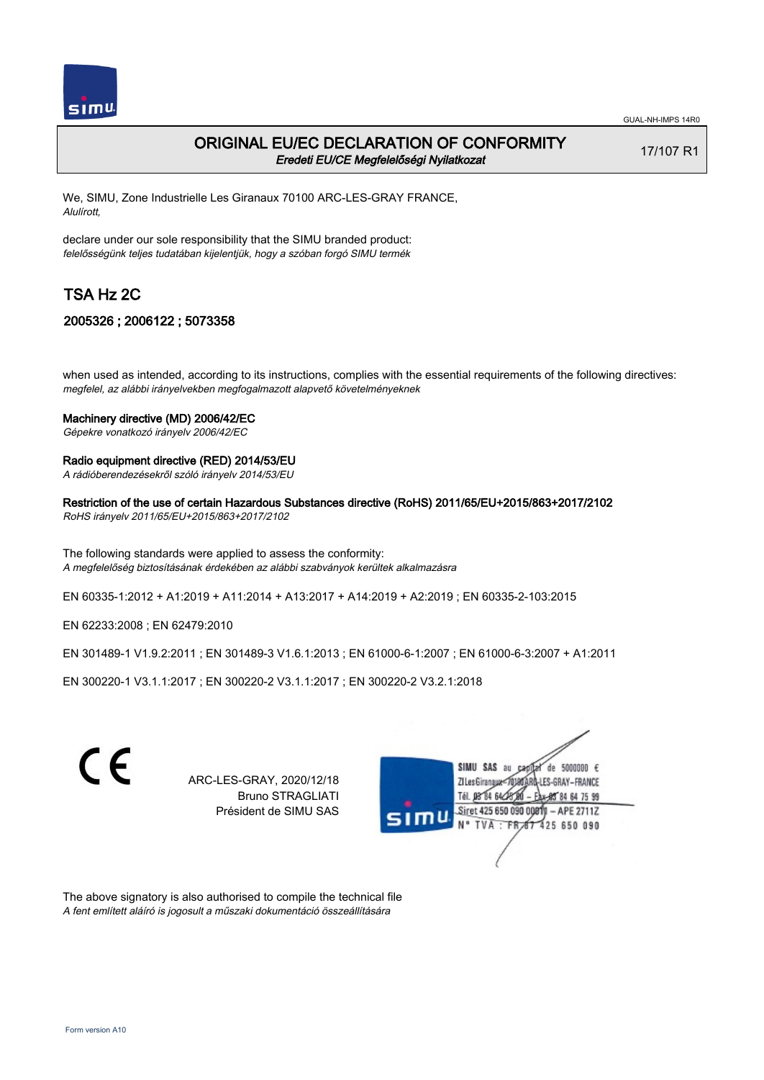

# ORIGINAL EU/EC DECLARATION OF CONFORMITY Eredeti EU/CE Megfelelőségi Nyilatkozat

17/107 R1

We, SIMU, Zone Industrielle Les Giranaux 70100 ARC-LES-GRAY FRANCE, Alulírott,

declare under our sole responsibility that the SIMU branded product: felelősségünk teljes tudatában kijelentjük, hogy a szóban forgó SIMU termék

# TSA Hz 2C

## 2005326 ; 2006122 ; 5073358

when used as intended, according to its instructions, complies with the essential requirements of the following directives: megfelel, az alábbi irányelvekben megfogalmazott alapvető követelményeknek

#### Machinery directive (MD) 2006/42/EC

Gépekre vonatkozó irányelv 2006/42/EC

### Radio equipment directive (RED) 2014/53/EU

A rádióberendezésekről szóló irányelv 2014/53/EU

### Restriction of the use of certain Hazardous Substances directive (RoHS) 2011/65/EU+2015/863+2017/2102

RoHS irányelv 2011/65/EU+2015/863+2017/2102

The following standards were applied to assess the conformity: A megfelelőség biztosításának érdekében az alábbi szabványok kerültek alkalmazásra

EN 60335‑1:2012 + A1:2019 + A11:2014 + A13:2017 + A14:2019 + A2:2019 ; EN 60335‑2‑103:2015

EN 62233:2008 ; EN 62479:2010

EN 301489‑1 V1.9.2:2011 ; EN 301489‑3 V1.6.1:2013 ; EN 61000‑6‑1:2007 ; EN 61000‑6‑3:2007 + A1:2011

EN 300220‑1 V3.1.1:2017 ; EN 300220‑2 V3.1.1:2017 ; EN 300220‑2 V3.2.1:2018



ARC-LES-GRAY, 2020/12/18 Bruno STRAGLIATI Président de SIMU SAS



The above signatory is also authorised to compile the technical file A fent említett aláíró is jogosult a műszaki dokumentáció összeállítására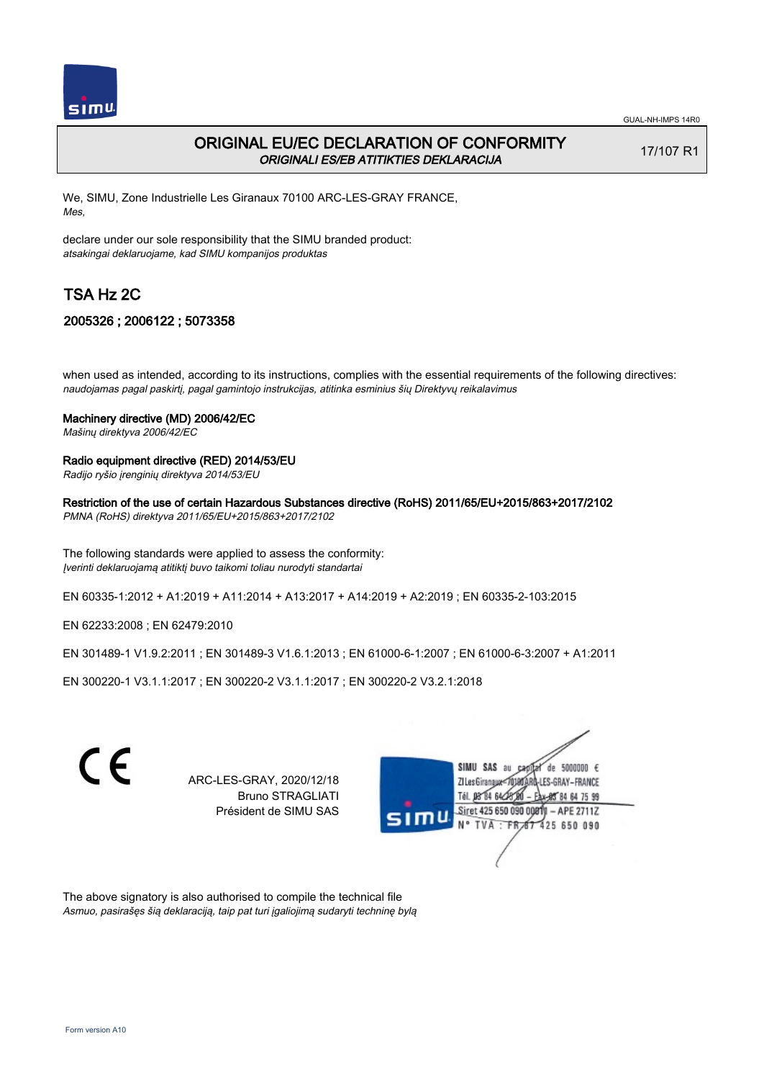

# ORIGINAL EU/EC DECLARATION OF CONFORMITY ORIGINALI ES/EB ATITIKTIES DEKLARACIJA

17/107 R1

We, SIMU, Zone Industrielle Les Giranaux 70100 ARC-LES-GRAY FRANCE, Mes,

declare under our sole responsibility that the SIMU branded product: atsakingai deklaruojame, kad SIMU kompanijos produktas

# TSA Hz 2C

## 2005326 ; 2006122 ; 5073358

when used as intended, according to its instructions, complies with the essential requirements of the following directives: naudojamas pagal paskirtį, pagal gamintojo instrukcijas, atitinka esminius šių Direktyvų reikalavimus

### Machinery directive (MD) 2006/42/EC

Mašinų direktyva 2006/42/EC

### Radio equipment directive (RED) 2014/53/EU

Radijo ryšio įrenginių direktyva 2014/53/EU

Restriction of the use of certain Hazardous Substances directive (RoHS) 2011/65/EU+2015/863+2017/2102

PMNA (RoHS) direktyva 2011/65/EU+2015/863+2017/2102

The following standards were applied to assess the conformity: Įverinti deklaruojamą atitiktį buvo taikomi toliau nurodyti standartai

EN 60335‑1:2012 + A1:2019 + A11:2014 + A13:2017 + A14:2019 + A2:2019 ; EN 60335‑2‑103:2015

EN 62233:2008 ; EN 62479:2010

EN 301489‑1 V1.9.2:2011 ; EN 301489‑3 V1.6.1:2013 ; EN 61000‑6‑1:2007 ; EN 61000‑6‑3:2007 + A1:2011

EN 300220‑1 V3.1.1:2017 ; EN 300220‑2 V3.1.1:2017 ; EN 300220‑2 V3.2.1:2018



ARC-LES-GRAY, 2020/12/18 Bruno STRAGLIATI Président de SIMU SAS



The above signatory is also authorised to compile the technical file Asmuo, pasirašęs šią deklaraciją, taip pat turi įgaliojimą sudaryti techninę bylą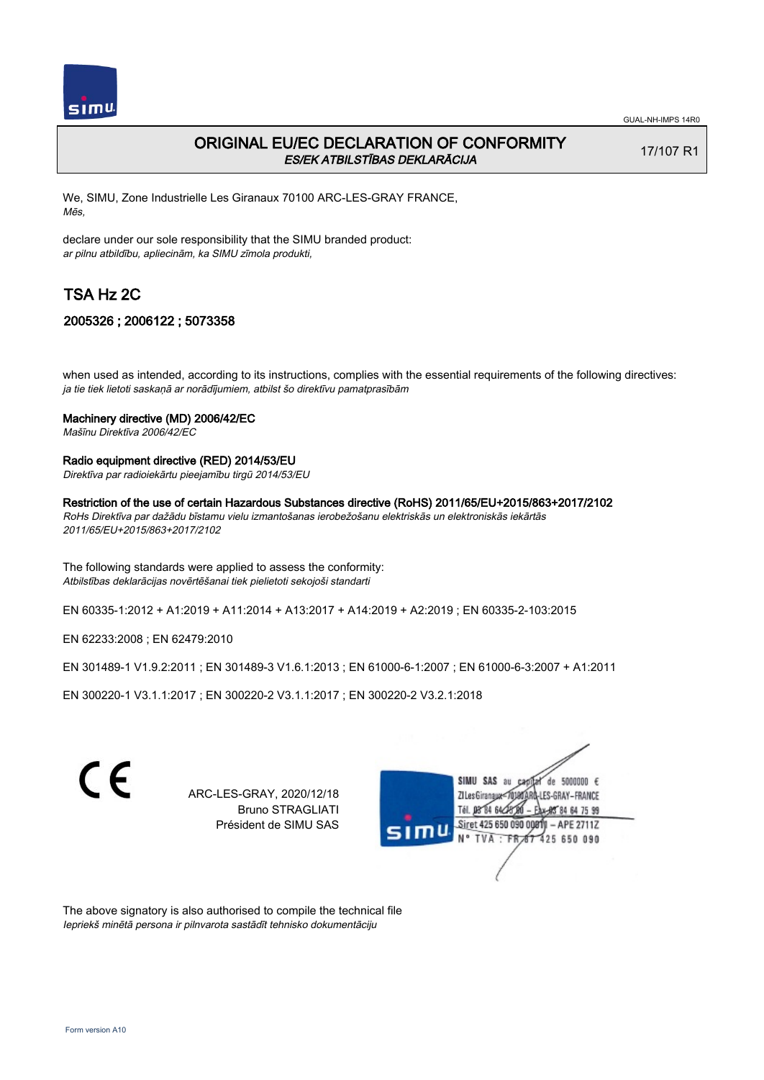

# ORIGINAL EU/EC DECLARATION OF CONFORMITY ES/EK ATBILSTĪBAS DEKLARĀCIJA

17/107 R1

We, SIMU, Zone Industrielle Les Giranaux 70100 ARC-LES-GRAY FRANCE, Mēs,

declare under our sole responsibility that the SIMU branded product: ar pilnu atbildību, apliecinām, ka SIMU zīmola produkti,

# TSA Hz 2C

## 2005326 ; 2006122 ; 5073358

when used as intended, according to its instructions, complies with the essential requirements of the following directives: ja tie tiek lietoti saskaņā ar norādījumiem, atbilst šo direktīvu pamatprasībām

#### Machinery directive (MD) 2006/42/EC

Mašīnu Direktīva 2006/42/EC

### Radio equipment directive (RED) 2014/53/EU

Direktīva par radioiekārtu pieejamību tirgū 2014/53/EU

Restriction of the use of certain Hazardous Substances directive (RoHS) 2011/65/EU+2015/863+2017/2102

RoHs Direktīva par dažādu bīstamu vielu izmantošanas ierobežošanu elektriskās un elektroniskās iekārtās 2011/65/EU+2015/863+2017/2102

The following standards were applied to assess the conformity: Atbilstības deklarācijas novērtēšanai tiek pielietoti sekojoši standarti

EN 60335‑1:2012 + A1:2019 + A11:2014 + A13:2017 + A14:2019 + A2:2019 ; EN 60335‑2‑103:2015

EN 62233:2008 ; EN 62479:2010

EN 301489‑1 V1.9.2:2011 ; EN 301489‑3 V1.6.1:2013 ; EN 61000‑6‑1:2007 ; EN 61000‑6‑3:2007 + A1:2011

EN 300220‑1 V3.1.1:2017 ; EN 300220‑2 V3.1.1:2017 ; EN 300220‑2 V3.2.1:2018

C E SIMU SAS de 5000000 € ARC-LES-GRAY, 2020/12/18 **ZILes Giranaux** ES-GRAY-FRANCE Bruno STRAGLIATI 64 75 99 Président de SIMU SAS Siret 425 650 090 0081)  $-$  APE 2711Z **TVA** 425 650 090

The above signatory is also authorised to compile the technical file Iepriekš minētā persona ir pilnvarota sastādīt tehnisko dokumentāciju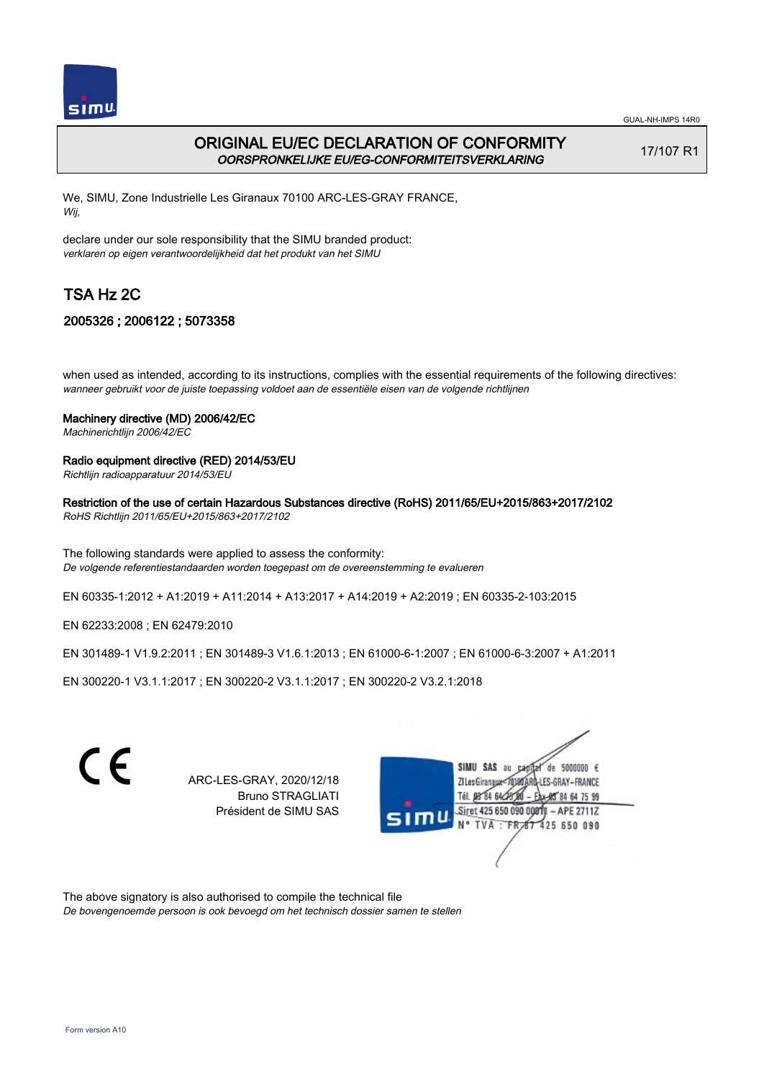

GUAL-NH-IMPS 14R0

# ORIGINAL EU/EC DECLARATION OF CONFORMITY OORSPRONKELIJKE EU/EG-CONFORMITEITSVERKLARING

17/107 R1

We, SIMU, Zone Industrielle Les Giranaux 70100 ARC-LES-GRAY FRANCE, Wij,

declare under our sole responsibility that the SIMU branded product: verklaren op eigen verantwoordelijkheid dat het produkt van het SIMU

# TSA Hz 2C

# 2005326 ; 2006122 ; 5073358

when used as intended, according to its instructions, complies with the essential requirements of the following directives: wanneer gebruikt voor de juiste toepassing voldoet aan de essentiële eisen van de volgende richtlijnen

### Machinery directive (MD) 2006/42/EC

Machinerichtlijn 2006/42/EC

### Radio equipment directive (RED) 2014/53/EU

Richtlijn radioapparatuur 2014/53/EU

### Restriction of the use of certain Hazardous Substances directive (RoHS) 2011/65/EU+2015/863+2017/2102

RoHS Richtlijn 2011/65/EU+2015/863+2017/2102

The following standards were applied to assess the conformity: De volgende referentiestandaarden worden toegepast om de overeenstemming te evalueren

EN 60335‑1:2012 + A1:2019 + A11:2014 + A13:2017 + A14:2019 + A2:2019 ; EN 60335‑2‑103:2015

EN 62233:2008 ; EN 62479:2010

EN 301489‑1 V1.9.2:2011 ; EN 301489‑3 V1.6.1:2013 ; EN 61000‑6‑1:2007 ; EN 61000‑6‑3:2007 + A1:2011

EN 300220‑1 V3.1.1:2017 ; EN 300220‑2 V3.1.1:2017 ; EN 300220‑2 V3.2.1:2018



ARC-LES-GRAY, 2020/12/18 Bruno STRAGLIATI Président de SIMU SAS



The above signatory is also authorised to compile the technical file De bovengenoemde persoon is ook bevoegd om het technisch dossier samen te stellen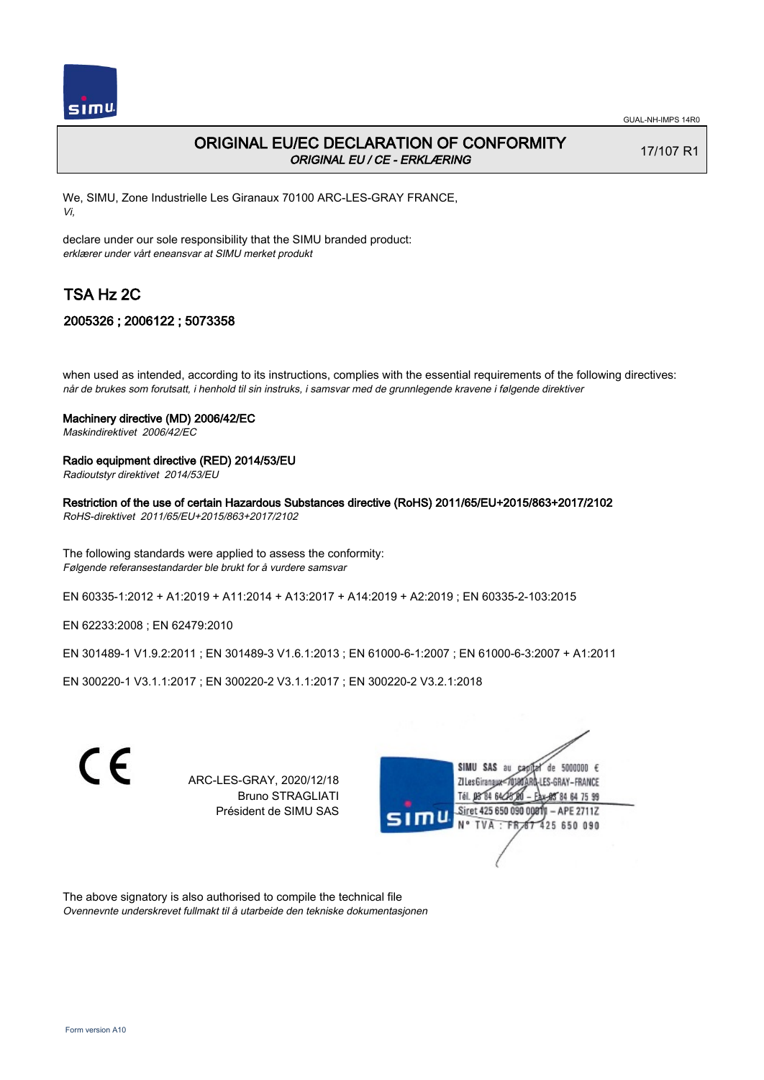

# ORIGINAL EU/EC DECLARATION OF CONFORMITY ORIGINAL EU / CE - ERKLÆRING

17/107 R1

We, SIMU, Zone Industrielle Les Giranaux 70100 ARC-LES-GRAY FRANCE, Vi,

declare under our sole responsibility that the SIMU branded product: erklærer under vårt eneansvar at SIMU merket produkt

# TSA Hz 2C

## 2005326 ; 2006122 ; 5073358

when used as intended, according to its instructions, complies with the essential requirements of the following directives: når de brukes som forutsatt, i henhold til sin instruks, i samsvar med de grunnlegende kravene i følgende direktiver

### Machinery directive (MD) 2006/42/EC

Maskindirektivet 2006/42/EC

### Radio equipment directive (RED) 2014/53/EU

Radioutstyr direktivet 2014/53/EU

Restriction of the use of certain Hazardous Substances directive (RoHS) 2011/65/EU+2015/863+2017/2102

RoHS-direktivet 2011/65/EU+2015/863+2017/2102

The following standards were applied to assess the conformity: Følgende referansestandarder ble brukt for å vurdere samsvar

EN 60335‑1:2012 + A1:2019 + A11:2014 + A13:2017 + A14:2019 + A2:2019 ; EN 60335‑2‑103:2015

EN 62233:2008 ; EN 62479:2010

EN 301489‑1 V1.9.2:2011 ; EN 301489‑3 V1.6.1:2013 ; EN 61000‑6‑1:2007 ; EN 61000‑6‑3:2007 + A1:2011

EN 300220‑1 V3.1.1:2017 ; EN 300220‑2 V3.1.1:2017 ; EN 300220‑2 V3.2.1:2018



ARC-LES-GRAY, 2020/12/18 Bruno STRAGLIATI Président de SIMU SAS



The above signatory is also authorised to compile the technical file Ovennevnte underskrevet fullmakt til å utarbeide den tekniske dokumentasjonen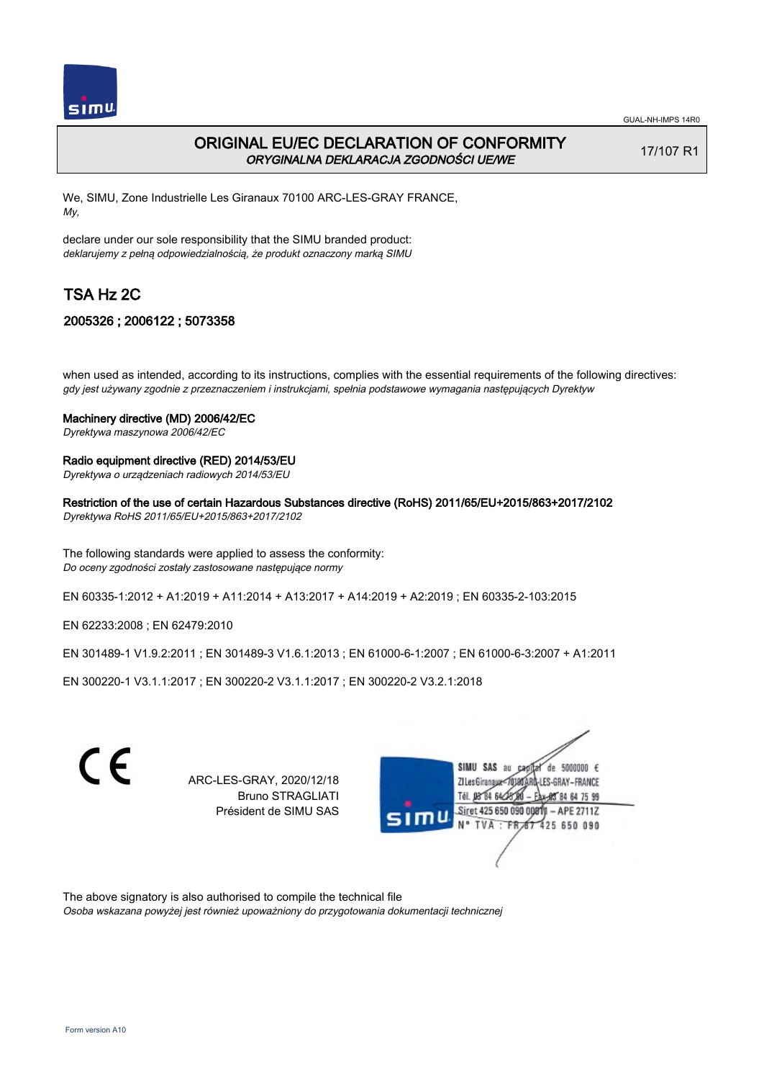

# ORIGINAL EU/EC DECLARATION OF CONFORMITY ORYGINALNA DEKLARACJA ZGODNOŚCI UE/WE

17/107 R1

We, SIMU, Zone Industrielle Les Giranaux 70100 ARC-LES-GRAY FRANCE, My,

declare under our sole responsibility that the SIMU branded product: deklarujemy z pełną odpowiedzialnością, że produkt oznaczony marką SIMU

# TSA Hz 2C

## 2005326 ; 2006122 ; 5073358

when used as intended, according to its instructions, complies with the essential requirements of the following directives: gdy jest używany zgodnie z przeznaczeniem i instrukcjami, spełnia podstawowe wymagania następujących Dyrektyw

#### Machinery directive (MD) 2006/42/EC

Dyrektywa maszynowa 2006/42/EC

### Radio equipment directive (RED) 2014/53/EU

Dyrektywa o urządzeniach radiowych 2014/53/EU

Restriction of the use of certain Hazardous Substances directive (RoHS) 2011/65/EU+2015/863+2017/2102

Dyrektywa RoHS 2011/65/EU+2015/863+2017/2102

The following standards were applied to assess the conformity: Do oceny zgodności zostały zastosowane następujące normy

EN 60335‑1:2012 + A1:2019 + A11:2014 + A13:2017 + A14:2019 + A2:2019 ; EN 60335‑2‑103:2015

EN 62233:2008 ; EN 62479:2010

EN 301489‑1 V1.9.2:2011 ; EN 301489‑3 V1.6.1:2013 ; EN 61000‑6‑1:2007 ; EN 61000‑6‑3:2007 + A1:2011

EN 300220‑1 V3.1.1:2017 ; EN 300220‑2 V3.1.1:2017 ; EN 300220‑2 V3.2.1:2018



ARC-LES-GRAY, 2020/12/18 Bruno STRAGLIATI Président de SIMU SAS



The above signatory is also authorised to compile the technical file Osoba wskazana powyżej jest również upoważniony do przygotowania dokumentacji technicznej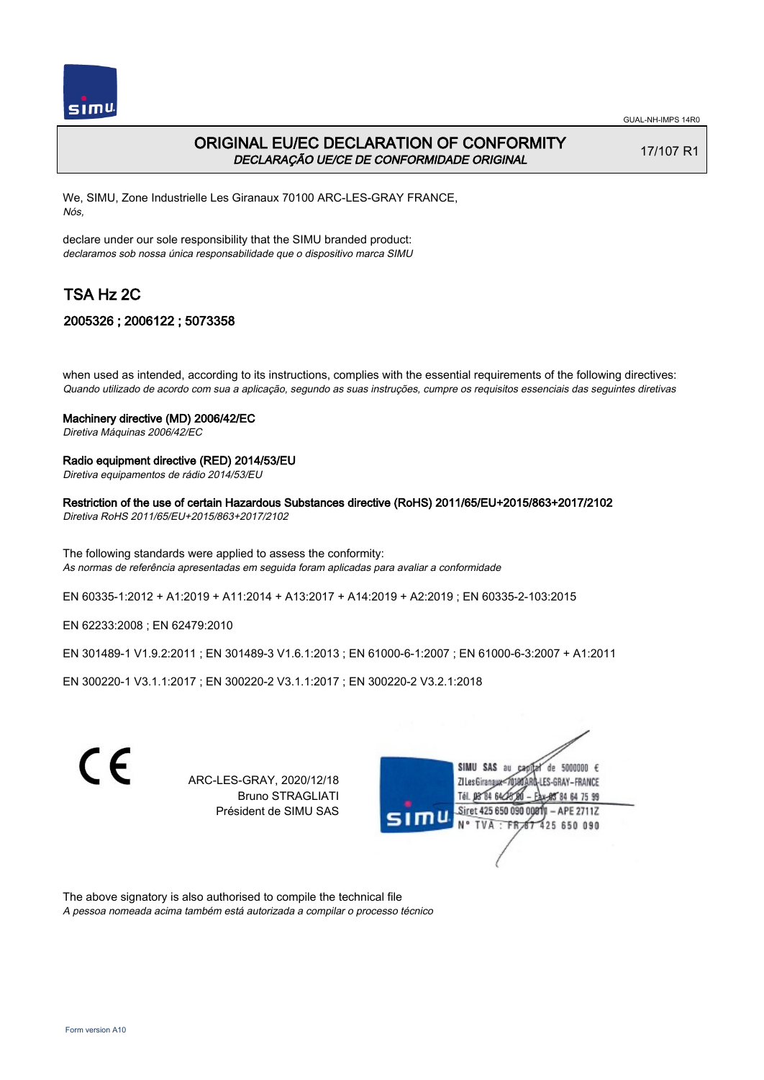

# ORIGINAL EU/EC DECLARATION OF CONFORMITY DECLARAÇÃO UE/CE DE CONFORMIDADE ORIGINAL

17/107 R1

We, SIMU, Zone Industrielle Les Giranaux 70100 ARC-LES-GRAY FRANCE, Nós,

declare under our sole responsibility that the SIMU branded product: declaramos sob nossa única responsabilidade que o dispositivo marca SIMU

# TSA Hz 2C

## 2005326 ; 2006122 ; 5073358

when used as intended, according to its instructions, complies with the essential requirements of the following directives: Quando utilizado de acordo com sua a aplicação, segundo as suas instruções, cumpre os requisitos essenciais das seguintes diretivas

## Machinery directive (MD) 2006/42/EC

Diretiva Máquinas 2006/42/EC

### Radio equipment directive (RED) 2014/53/EU

Diretiva equipamentos de rádio 2014/53/EU

### Restriction of the use of certain Hazardous Substances directive (RoHS) 2011/65/EU+2015/863+2017/2102

Diretiva RoHS 2011/65/EU+2015/863+2017/2102

The following standards were applied to assess the conformity: As normas de referência apresentadas em seguida foram aplicadas para avaliar a conformidade

EN 60335‑1:2012 + A1:2019 + A11:2014 + A13:2017 + A14:2019 + A2:2019 ; EN 60335‑2‑103:2015

EN 62233:2008 ; EN 62479:2010

EN 301489‑1 V1.9.2:2011 ; EN 301489‑3 V1.6.1:2013 ; EN 61000‑6‑1:2007 ; EN 61000‑6‑3:2007 + A1:2011

EN 300220‑1 V3.1.1:2017 ; EN 300220‑2 V3.1.1:2017 ; EN 300220‑2 V3.2.1:2018



ARC-LES-GRAY, 2020/12/18 Bruno STRAGLIATI Président de SIMU SAS



The above signatory is also authorised to compile the technical file A pessoa nomeada acima também está autorizada a compilar o processo técnico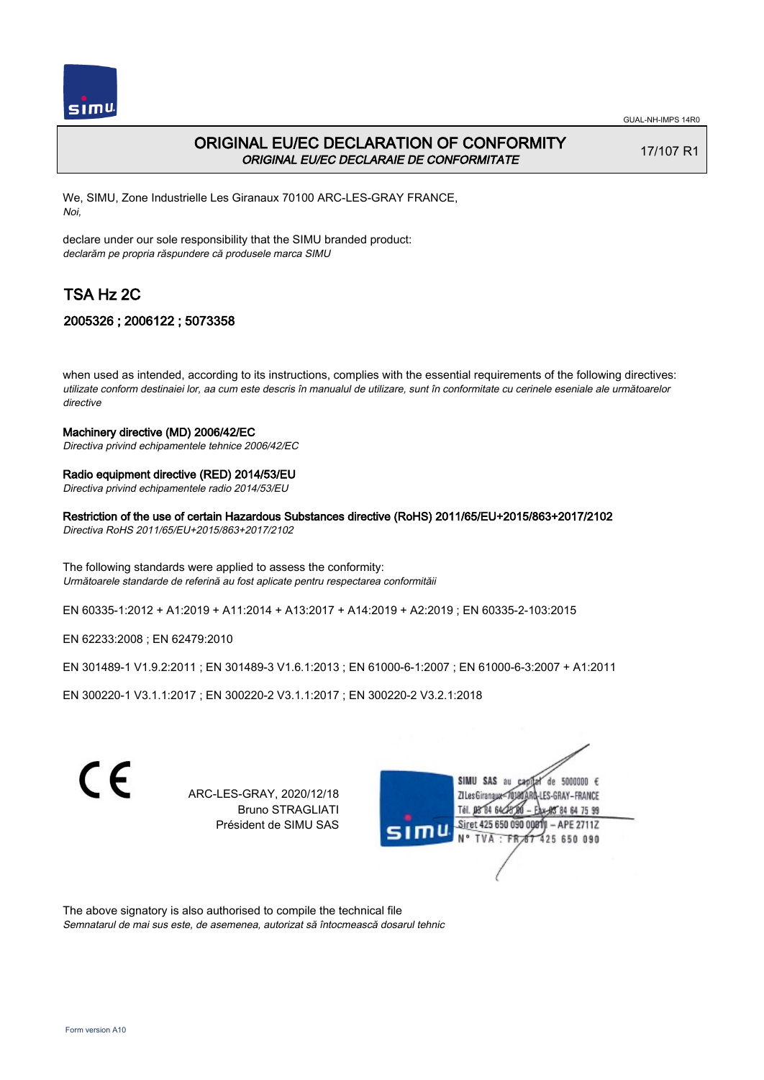

# ORIGINAL EU/EC DECLARATION OF CONFORMITY ORIGINAL EU/EC DECLARAIE DE CONFORMITATE

17/107 R1

We, SIMU, Zone Industrielle Les Giranaux 70100 ARC-LES-GRAY FRANCE, Noi,

declare under our sole responsibility that the SIMU branded product: declarăm pe propria răspundere că produsele marca SIMU

# TSA Hz 2C

## 2005326 ; 2006122 ; 5073358

when used as intended, according to its instructions, complies with the essential requirements of the following directives: utilizate conform destinaiei lor, aa cum este descris în manualul de utilizare, sunt în conformitate cu cerinele eseniale ale următoarelor directive

#### Machinery directive (MD) 2006/42/EC

Directiva privind echipamentele tehnice 2006/42/EC

#### Radio equipment directive (RED) 2014/53/EU

Directiva privind echipamentele radio 2014/53/EU

Restriction of the use of certain Hazardous Substances directive (RoHS) 2011/65/EU+2015/863+2017/2102

Directiva RoHS 2011/65/EU+2015/863+2017/2102

The following standards were applied to assess the conformity: Următoarele standarde de referină au fost aplicate pentru respectarea conformităii

EN 60335‑1:2012 + A1:2019 + A11:2014 + A13:2017 + A14:2019 + A2:2019 ; EN 60335‑2‑103:2015

EN 62233:2008 ; EN 62479:2010

EN 301489‑1 V1.9.2:2011 ; EN 301489‑3 V1.6.1:2013 ; EN 61000‑6‑1:2007 ; EN 61000‑6‑3:2007 + A1:2011

EN 300220‑1 V3.1.1:2017 ; EN 300220‑2 V3.1.1:2017 ; EN 300220‑2 V3.2.1:2018

C E SIMU SAS de 5000000 € ARC-LES-GRAY, 2020/12/18 **ZILes Giranaux** ES-GRAY-FRANCE Bruno STRAGLIATI 64 75 99 Président de SIMU SAS Siret 425 650 090 0081)  $-$  APE 2711Z 425 650 090

The above signatory is also authorised to compile the technical file Semnatarul de mai sus este, de asemenea, autorizat să întocmească dosarul tehnic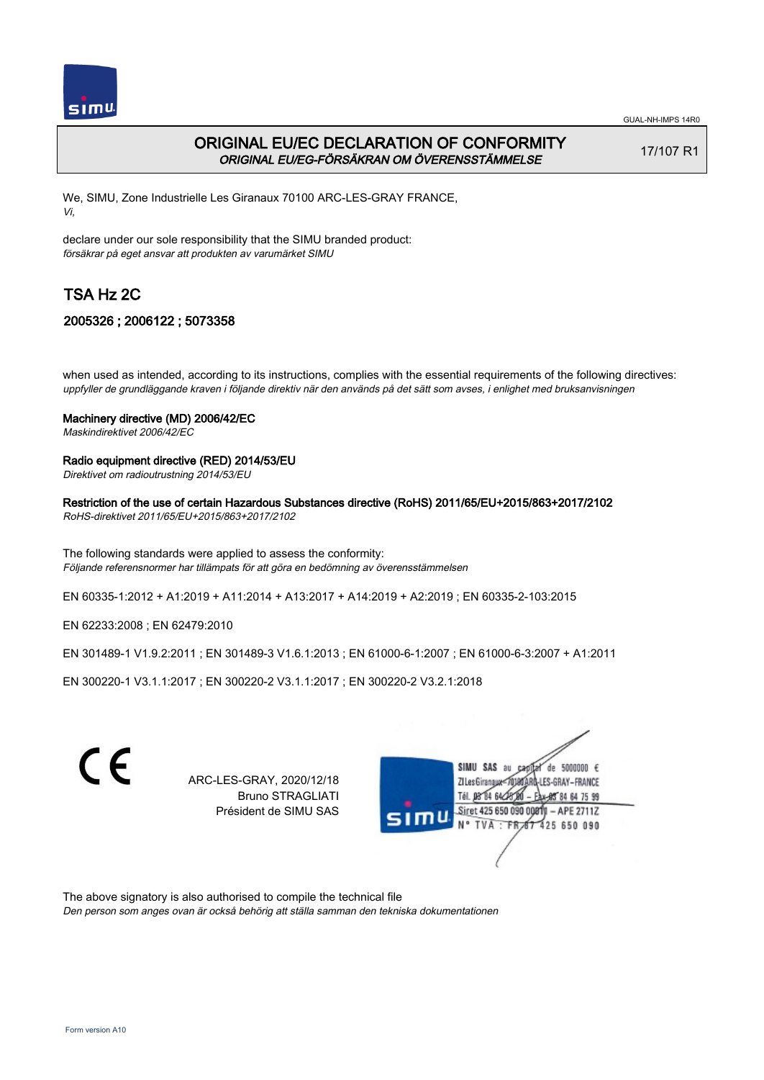

GUAL-NH-IMPS 14R0

# ORIGINAL EU/EC DECLARATION OF CONFORMITY ORIGINAL EU/EG-FÖRSÄKRAN OM ÖVERENSSTÄMMELSE

17/107 R1

We, SIMU, Zone Industrielle Les Giranaux 70100 ARC-LES-GRAY FRANCE, Vi,

declare under our sole responsibility that the SIMU branded product: försäkrar på eget ansvar att produkten av varumärket SIMU

# TSA Hz 2C

# 2005326 ; 2006122 ; 5073358

when used as intended, according to its instructions, complies with the essential requirements of the following directives: uppfyller de grundläggande kraven i följande direktiv när den används på det sätt som avses, i enlighet med bruksanvisningen

## Machinery directive (MD) 2006/42/EC

Maskindirektivet 2006/42/EC

## Radio equipment directive (RED) 2014/53/EU

Direktivet om radioutrustning 2014/53/EU

## Restriction of the use of certain Hazardous Substances directive (RoHS) 2011/65/EU+2015/863+2017/2102

RoHS-direktivet 2011/65/EU+2015/863+2017/2102

The following standards were applied to assess the conformity: Följande referensnormer har tillämpats för att göra en bedömning av överensstämmelsen

EN 60335‑1:2012 + A1:2019 + A11:2014 + A13:2017 + A14:2019 + A2:2019 ; EN 60335‑2‑103:2015

EN 62233:2008 ; EN 62479:2010

EN 301489‑1 V1.9.2:2011 ; EN 301489‑3 V1.6.1:2013 ; EN 61000‑6‑1:2007 ; EN 61000‑6‑3:2007 + A1:2011

EN 300220‑1 V3.1.1:2017 ; EN 300220‑2 V3.1.1:2017 ; EN 300220‑2 V3.2.1:2018

 $\epsilon$ 

ARC-LES-GRAY, 2020/12/18 Bruno STRAGLIATI Président de SIMU SAS



The above signatory is also authorised to compile the technical file

Den person som anges ovan är också behörig att ställa samman den tekniska dokumentationen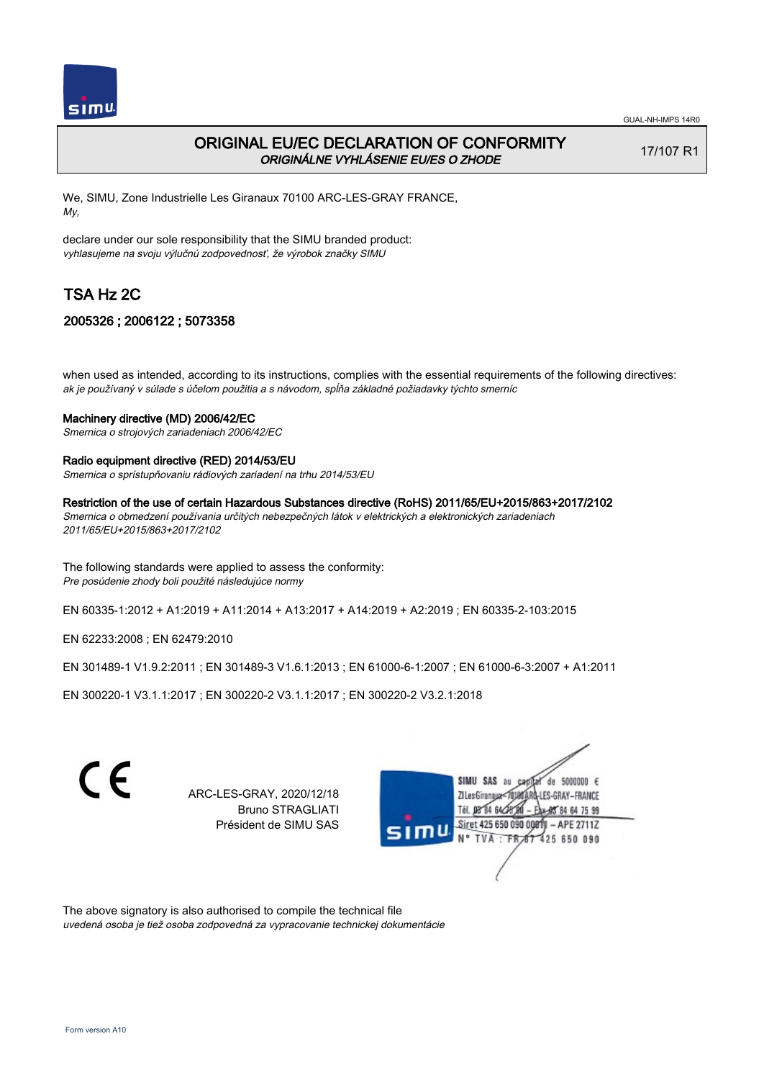

# ORIGINAL EU/EC DECLARATION OF CONFORMITY ORIGINÁLNE VYHLÁSENIE EU/ES O ZHODE

17/107 R1

We, SIMU, Zone Industrielle Les Giranaux 70100 ARC-LES-GRAY FRANCE, My,

declare under our sole responsibility that the SIMU branded product: vyhlasujeme na svoju výlučnú zodpovednosť, že výrobok značky SIMU

# TSA Hz 2C

## 2005326 ; 2006122 ; 5073358

when used as intended, according to its instructions, complies with the essential requirements of the following directives: ak je používaný v súlade s účelom použitia a s návodom, spĺňa základné požiadavky týchto smerníc

## Machinery directive (MD) 2006/42/EC

Smernica o strojových zariadeniach 2006/42/EC

### Radio equipment directive (RED) 2014/53/EU

Smernica o sprístupňovaniu rádiových zariadení na trhu 2014/53/EU

Restriction of the use of certain Hazardous Substances directive (RoHS) 2011/65/EU+2015/863+2017/2102

Smernica o obmedzení používania určitých nebezpečných látok v elektrických a elektronických zariadeniach 2011/65/EU+2015/863+2017/2102

The following standards were applied to assess the conformity: Pre posúdenie zhody boli použité následujúce normy

EN 60335‑1:2012 + A1:2019 + A11:2014 + A13:2017 + A14:2019 + A2:2019 ; EN 60335‑2‑103:2015

EN 62233:2008 ; EN 62479:2010

EN 301489‑1 V1.9.2:2011 ; EN 301489‑3 V1.6.1:2013 ; EN 61000‑6‑1:2007 ; EN 61000‑6‑3:2007 + A1:2011

EN 300220‑1 V3.1.1:2017 ; EN 300220‑2 V3.1.1:2017 ; EN 300220‑2 V3.2.1:2018

C E SIMU SAS au de 5000000 € ARC-LES-GRAY, 2020/12/18 **ZILes Giranaux** ES-GRAY-FRANCE Bruno STRAGLIATI 64 75 99 Président de SIMU SAS Siret 425 650 090 0081)  $-$  APE 2711Z 425 650 090

The above signatory is also authorised to compile the technical file uvedená osoba je tiež osoba zodpovedná za vypracovanie technickej dokumentácie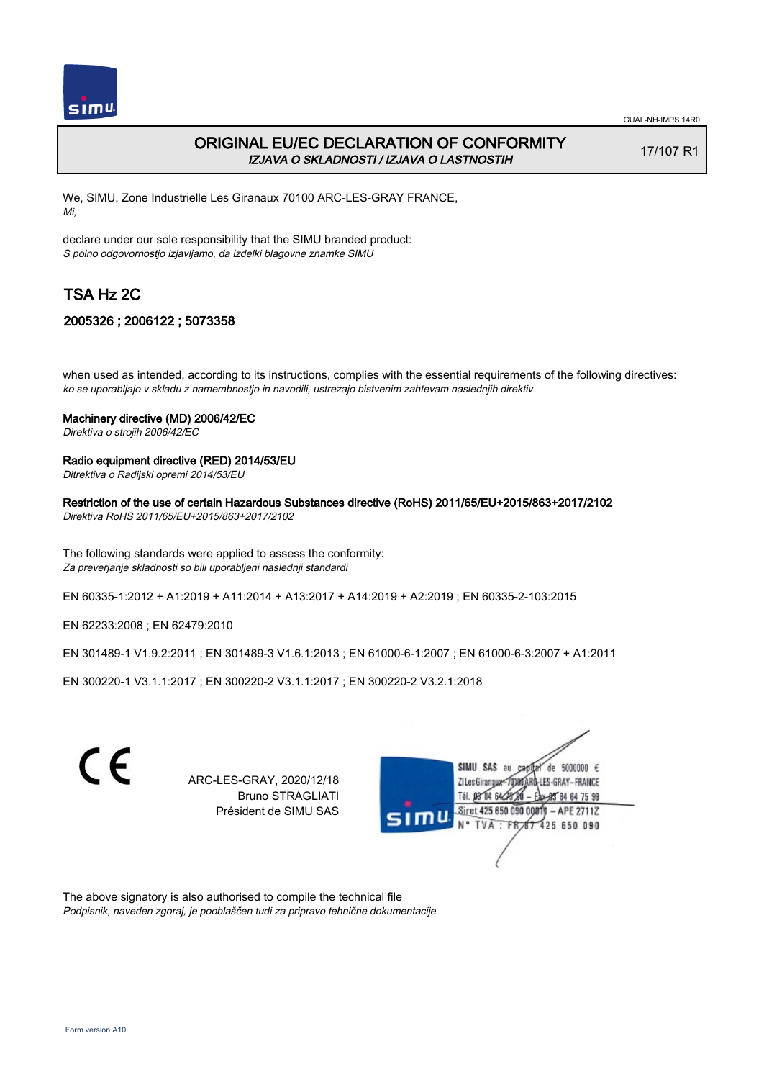

# ORIGINAL EU/EC DECLARATION OF CONFORMITY IZJAVA O SKLADNOSTI / IZJAVA O LASTNOSTIH

17/107 R1

We, SIMU, Zone Industrielle Les Giranaux 70100 ARC-LES-GRAY FRANCE, Mi,

declare under our sole responsibility that the SIMU branded product: S polno odgovornostjo izjavljamo, da izdelki blagovne znamke SIMU

# TSA Hz 2C

## 2005326 ; 2006122 ; 5073358

when used as intended, according to its instructions, complies with the essential requirements of the following directives: ko se uporabljajo v skladu z namembnostjo in navodili, ustrezajo bistvenim zahtevam naslednjih direktiv

### Machinery directive (MD) 2006/42/EC

Direktiva o strojih 2006/42/EC

### Radio equipment directive (RED) 2014/53/EU

Ditrektiva o Radijski opremi 2014/53/EU

### Restriction of the use of certain Hazardous Substances directive (RoHS) 2011/65/EU+2015/863+2017/2102

Direktiva RoHS 2011/65/EU+2015/863+2017/2102

The following standards were applied to assess the conformity: Za preverjanje skladnosti so bili uporabljeni naslednji standardi

EN 60335‑1:2012 + A1:2019 + A11:2014 + A13:2017 + A14:2019 + A2:2019 ; EN 60335‑2‑103:2015

EN 62233:2008 ; EN 62479:2010

EN 301489‑1 V1.9.2:2011 ; EN 301489‑3 V1.6.1:2013 ; EN 61000‑6‑1:2007 ; EN 61000‑6‑3:2007 + A1:2011

EN 300220‑1 V3.1.1:2017 ; EN 300220‑2 V3.1.1:2017 ; EN 300220‑2 V3.2.1:2018



ARC-LES-GRAY, 2020/12/18 Bruno STRAGLIATI Président de SIMU SAS



The above signatory is also authorised to compile the technical file Podpisnik, naveden zgoraj, je pooblaščen tudi za pripravo tehnične dokumentacije